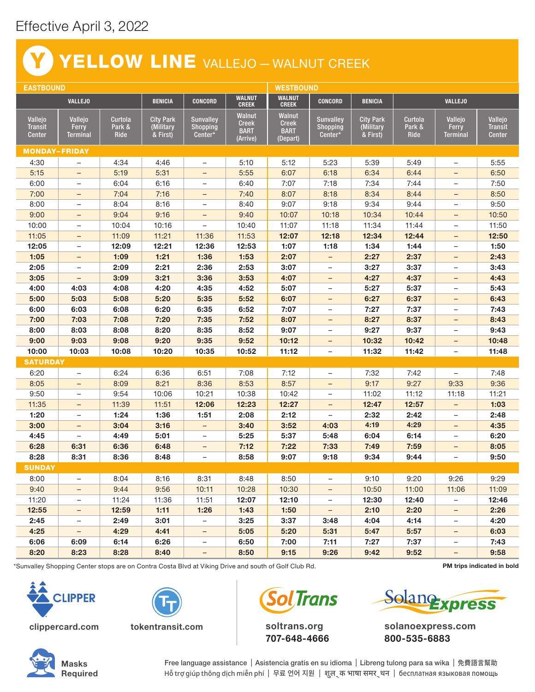## Effective April 3, 2022

## YELLOW LINE VALLEJO - WALNUT CREEK Y

| <b>EASTBOUND</b>                           |                              |                           |                                           |                                                |                                                          |                                                          | <b>WESTBOUND</b>                        |                                           |                                  |                                     |                                            |  |
|--------------------------------------------|------------------------------|---------------------------|-------------------------------------------|------------------------------------------------|----------------------------------------------------------|----------------------------------------------------------|-----------------------------------------|-------------------------------------------|----------------------------------|-------------------------------------|--------------------------------------------|--|
| <b>VALLEJO</b>                             |                              |                           | <b>BENICIA</b>                            | <b>CONCORD</b>                                 | <b>WALNUT</b><br><b>CREEK</b>                            | <b>WALNUT</b><br><b>CREEK</b>                            | <b>CONCORD</b>                          | <b>BENICIA</b>                            | <b>VALLEJO</b>                   |                                     |                                            |  |
| Vallejo<br><b>Transit</b><br><b>Center</b> | Vallejo<br>Ferry<br>Terminal | Curtola<br>Park &<br>Ride | <b>City Park</b><br>(Military<br>& First) | <b>Sunvalley</b><br><b>Shopping</b><br>Center* | <b>Walnut</b><br><b>Creek</b><br><b>BART</b><br>(Arrive) | <b>Walnut</b><br><b>Creek</b><br><b>BART</b><br>(Depart) | <b>Sunvalley</b><br>Shopping<br>Center* | <b>City Park</b><br>(Military<br>& First) | Curtola<br>Park &<br><b>Ride</b> | Vallejo<br>Ferry<br><b>Terminal</b> | Vallejo<br><b>Transit</b><br><b>Center</b> |  |
| <b>MONDAY-FRIDAY</b>                       |                              |                           |                                           |                                                |                                                          |                                                          |                                         |                                           |                                  |                                     |                                            |  |
| 4:30                                       |                              | 4:34                      | 4:46                                      |                                                | 5:10                                                     | 5:12                                                     | 5:23                                    | 5:39                                      | 5:49                             |                                     | 5:55                                       |  |
| 5:15                                       | $\qquad \qquad -$            | 5:19                      | 5:31                                      | $\overline{\phantom{0}}$                       | 5:55                                                     | 6:07                                                     | 6:18                                    | 6:34                                      | 6:44                             | $\overline{\phantom{0}}$            | 6:50                                       |  |
| 6:00                                       | $\qquad \qquad -$            | 6:04                      | 6:16                                      | $\overline{\phantom{0}}$                       | 6:40                                                     | 7:07                                                     | 7:18                                    | 7:34                                      | 7:44                             | $\qquad \qquad -$                   | 7:50                                       |  |
| 7:00                                       | $\overline{\phantom{0}}$     | 7:04                      | 7:16                                      | -                                              | 7:40                                                     | 8:07                                                     | 8:18                                    | 8:34                                      | 8:44                             | $\overline{\phantom{0}}$            | 8:50                                       |  |
| 8:00                                       | $\qquad \qquad -$            | 8:04                      | 8:16                                      | $\overline{\phantom{0}}$                       | 8:40                                                     | 9:07                                                     | 9:18                                    | 9:34                                      | 9:44                             | $\qquad \qquad -$                   | 9:50                                       |  |
| 9:00                                       | $\qquad \qquad -$            | 9:04                      | 9:16                                      | $\overline{\phantom{0}}$                       | 9:40                                                     | 10:07                                                    | 10:18                                   | 10:34                                     | 10:44                            | $\overline{\phantom{0}}$            | 10:50                                      |  |
| 10:00                                      | $\qquad \qquad -$            | 10:04                     | 10:16                                     | $\qquad \qquad -$                              | 10:40                                                    | 11:07                                                    | 11:18                                   | 11:34                                     | 11:44                            | $\qquad \qquad -$                   | 11:50                                      |  |
| 11:05                                      | $\overline{\phantom{0}}$     | 11:09                     | 11:21                                     | 11:36                                          | 11:53                                                    | 12:07                                                    | 12:18                                   | 12:34                                     | 12:44                            | $\overline{\phantom{0}}$            | 12:50                                      |  |
| 12:05                                      | $\qquad \qquad -$            | 12:09                     | 12:21                                     | 12:36                                          | 12:53                                                    | 1:07                                                     | 1:18                                    | 1:34                                      | 1:44                             | $\qquad \qquad -$                   | 1:50                                       |  |
| 1:05                                       | $\qquad \qquad -$            | 1:09                      | 1:21                                      | 1:36                                           | 1:53                                                     | 2:07                                                     |                                         | 2:27                                      | 2:37                             | $\qquad \qquad -$                   | 2:43                                       |  |
| 2:05                                       | $\qquad \qquad -$            | 2:09                      | 2:21                                      | 2:36                                           | 2:53                                                     | 3:07                                                     | $\overline{\phantom{a}}$                | 3:27                                      | 3:37                             | $\qquad \qquad -$                   | 3:43                                       |  |
| 3:05                                       | $\overline{\phantom{0}}$     | 3:09                      | 3:21                                      | 3:36                                           | 3:53                                                     | 4:07                                                     | $\overline{\phantom{a}}$                | 4:27                                      | 4:37                             | $\overline{\phantom{0}}$            | 4:43                                       |  |
| 4:00                                       | 4:03                         | 4:08                      | 4:20                                      | 4:35                                           | 4:52                                                     | 5:07                                                     | $\overline{\phantom{m}}$                | 5:27                                      | 5:37                             | $\qquad \qquad -$                   | 5:43                                       |  |
| 5:00                                       | 5:03                         | 5:08                      | 5:20                                      | 5:35                                           | 5:52                                                     | 6:07                                                     | $\overline{\phantom{a}}$                | 6:27                                      | 6:37                             | $\overline{\phantom{0}}$            | 6:43                                       |  |
| 6:00                                       | 6:03                         | 6:08                      | 6:20                                      | 6:35                                           | 6:52                                                     | 7:07                                                     | $\overline{\phantom{m}}$                | 7:27                                      | 7:37                             | $\qquad \qquad -$                   | 7:43                                       |  |
| 7:00                                       | 7:03                         | 7:08                      | 7:20                                      | 7:35                                           | 7:52                                                     | 8:07                                                     | $\overline{\phantom{a}}$                | 8:27                                      | 8:37                             | $\overline{\phantom{0}}$            | 8:43                                       |  |
| 8:00                                       | 8:03                         | 8:08                      | 8:20                                      | 8:35                                           | 8:52                                                     | 9:07                                                     | $\overline{\phantom{a}}$                | 9:27                                      | 9:37                             | $\qquad \qquad -$                   | 9:43                                       |  |
| 9:00                                       | 9:03                         | 9:08                      | 9:20                                      | 9:35                                           | 9:52                                                     | 10:12                                                    | $\overline{\phantom{a}}$                | 10:32                                     | 10:42                            | $\overline{\phantom{0}}$            | 10:48                                      |  |
| 10:00                                      | 10:03                        | 10:08                     | 10:20                                     | 10:35                                          | 10:52                                                    | 11:12                                                    | $\overline{\phantom{0}}$                | 11:32                                     | 11:42                            | $\overline{\phantom{0}}$            | 11:48                                      |  |
| <b>SATURDAY</b>                            |                              |                           |                                           |                                                |                                                          |                                                          |                                         |                                           |                                  |                                     |                                            |  |
| 6:20                                       | $\qquad \qquad -$            | 6:24                      | 6:36                                      | 6:51                                           | 7:08                                                     | 7:12                                                     | $\overline{\phantom{m}}$                | 7:32                                      | 7:42                             | $\overline{\phantom{0}}$            | 7:48                                       |  |
| 8:05                                       | $-$                          | 8:09                      | 8:21                                      | 8:36                                           | 8:53                                                     | 8:57                                                     | $\overline{\phantom{a}}$                | 9:17                                      | 9:27                             | 9:33                                | 9:36                                       |  |
| 9:50                                       | $\overline{\phantom{0}}$     | 9:54                      | 10:06                                     | 10:21                                          | 10:38                                                    | 10:42                                                    | $\overline{\phantom{m}}$                | 11:02                                     | 11:12                            | 11:18                               | 11:21                                      |  |
| 11:35                                      | $\qquad \qquad -$            | 11:39                     | 11:51                                     | 12:06                                          | 12:23                                                    | 12:27                                                    | $\overline{\phantom{0}}$                | 12:47                                     | 12:57                            | $\qquad \qquad -$                   | 1:03                                       |  |
| 1:20                                       | $\qquad \qquad -$            | 1:24                      | 1:36                                      | 1:51                                           | 2:08                                                     | 2:12                                                     | $\overline{\phantom{m}}$                | 2:32                                      | 2:42                             | $\qquad \qquad -$                   | 2:48                                       |  |
| 3:00                                       | $\qquad \qquad -$            | 3:04                      | 3:16                                      | $\overline{\phantom{0}}$                       | 3:40                                                     | 3:52                                                     | 4:03                                    | 4:19                                      | 4:29                             | $\qquad \qquad -$                   | 4:35                                       |  |
| 4:45                                       | $\qquad \qquad -$            | 4:49                      | 5:01                                      | -                                              | 5:25                                                     | 5:37                                                     | 5:48                                    | 6:04                                      | 6:14                             | $\overline{\phantom{0}}$            | 6:20                                       |  |
| 6:28                                       | 6:31                         | 6:36                      | 6:48                                      | -                                              | 7:12                                                     | 7:22                                                     | 7:33                                    | 7:49                                      | 7:59                             | -                                   | 8:05                                       |  |
| 8:28                                       | 8:31                         | 8:36                      | 8:48                                      | $\overline{\phantom{0}}$                       | 8:58                                                     | 9:07                                                     | 9:18                                    | 9:34                                      | 9:44                             | $\qquad \qquad -$                   | 9:50                                       |  |
| <b>SUNDAY</b>                              |                              |                           |                                           |                                                |                                                          |                                                          |                                         |                                           |                                  |                                     |                                            |  |
| 8:00                                       | $\overline{\phantom{0}}$     | 8:04                      | 8:16                                      | 8:31                                           | 8:48                                                     | 8:50                                                     | $\overline{\phantom{a}}$                | 9:10                                      | 9:20                             | 9:26                                | 9:29                                       |  |
| 9:40                                       | -                            | 9:44                      | 9:56                                      | 10:11                                          | 10:28                                                    | 10:30                                                    | $\qquad \qquad -$                       | 10:50                                     | 11:00                            | 11:06                               | 11:09                                      |  |
| 11:20                                      | -                            | 11:24                     | 11:36                                     | 11:51                                          | 12:07                                                    | 12:10                                                    | $\overline{\phantom{a}}$                | 12:30                                     | 12:40                            | $\overline{\phantom{0}}$            | 12:46                                      |  |
| 12:55                                      | -                            | 12:59                     | 1:11                                      | 1:26                                           | 1:43                                                     | 1:50                                                     | $\overline{\phantom{a}}$                | 2:10                                      | 2:20                             | -                                   | 2:26                                       |  |
| 2:45                                       | -                            | 2:49                      | 3:01                                      | $\overline{\phantom{0}}$                       | 3:25                                                     | 3:37                                                     | 3:48                                    | 4:04                                      | 4:14                             | -                                   | 4:20                                       |  |
| 4:25                                       | -                            | 4:29                      | 4:41                                      | -                                              | 5:05                                                     | 5:20                                                     | 5:31                                    | 5:47                                      | 5:57                             | -                                   | 6:03                                       |  |
| 6:06                                       | 6:09                         | 6:14                      | 6:26                                      | -                                              | 6:50                                                     | 7:00                                                     | 7:11                                    | 7:27                                      | 7:37                             | -                                   | 7:43                                       |  |
| 8:20                                       | 8:23                         | 8:28                      | 8:40                                      | -                                              | 8:50                                                     | 9:15                                                     | 9:26                                    | 9:42                                      | 9:52                             | $\overline{\phantom{0}}$            | 9:58                                       |  |

\*Sunvalley Shopping Center stops are on Contra Costa Blvd at Viking Drive and south of Golf Club Rd. **PM trips indicated in bold** 



clippercard.com tokentransit.com



**Trans** 

soltrans.org 707-648-4666



solanoexpress.com 800-535-6883



Free language assistance | Asistencia gratis en su idioma | Libreng tulong para sa wika | 免費語言幫助 Hỗ trợ giúp thông dịch miễn phí | 무료 언어 지원 | शुल ् क भाषा समर ् थन | бесплатная языковая помощь